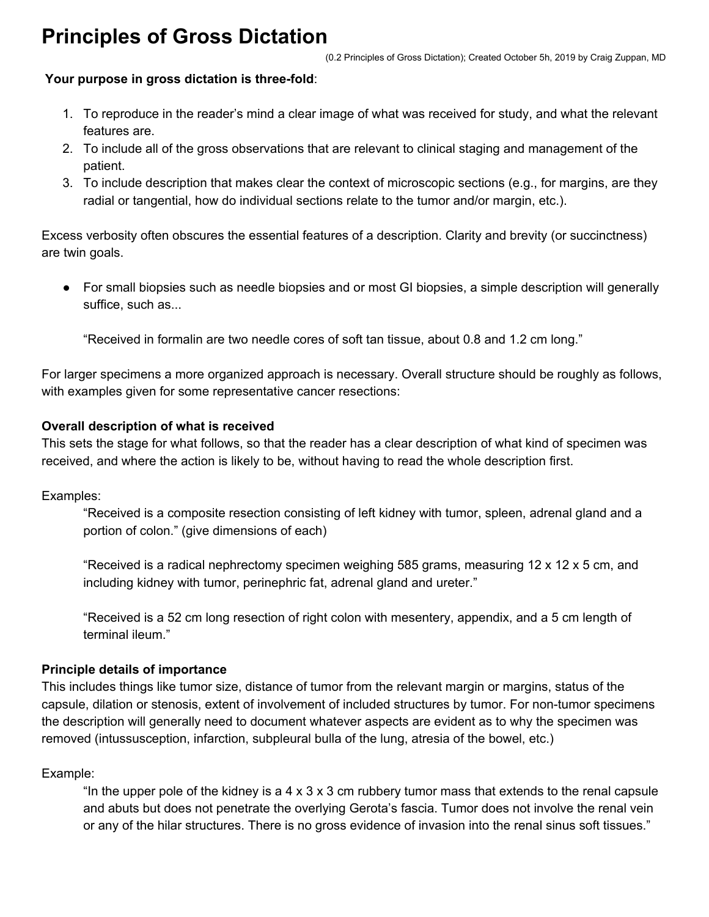# **Principles of Gross Dictation**

## **Your purpose in gross dictation is three-fold**:

- 1. To reproduce in the reader's mind a clear image of what was received for study, and what the relevant features are.
- 2. To include all of the gross observations that are relevant to clinical staging and management of the patient.
- 3. To include description that makes clear the context of microscopic sections (e.g., for margins, are they radial or tangential, how do individual sections relate to the tumor and/or margin, etc.).

Excess verbosity often obscures the essential features of a description. Clarity and brevity (or succinctness) are twin goals.

• For small biopsies such as needle biopsies and or most GI biopsies, a simple description will generally suffice, such as...

"Received in formalin are two needle cores of soft tan tissue, about 0.8 and 1.2 cm long."

For larger specimens a more organized approach is necessary. Overall structure should be roughly as follows, with examples given for some representative cancer resections:

## **Overall description of what is received**

This sets the stage for what follows, so that the reader has a clear description of what kind of specimen was received, and where the action is likely to be, without having to read the whole description first.

Examples:

"Received is a composite resection consisting of left kidney with tumor, spleen, adrenal gland and a portion of colon." (give dimensions of each)

"Received is a radical nephrectomy specimen weighing 585 grams, measuring 12 x 12 x 5 cm, and including kidney with tumor, perinephric fat, adrenal gland and ureter."

"Received is a 52 cm long resection of right colon with mesentery, appendix, and a 5 cm length of terminal ileum."

# **Principle details of importance**

This includes things like tumor size, distance of tumor from the relevant margin or margins, status of the capsule, dilation or stenosis, extent of involvement of included structures by tumor. For non-tumor specimens the description will generally need to document whatever aspects are evident as to why the specimen was removed (intussusception, infarction, subpleural bulla of the lung, atresia of the bowel, etc.)

# Example:

"In the upper pole of the kidney is a 4 x 3 x 3 cm rubbery tumor mass that extends to the renal capsule and abuts but does not penetrate the overlying Gerota's fascia. Tumor does not involve the renal vein or any of the hilar structures. There is no gross evidence of invasion into the renal sinus soft tissues."